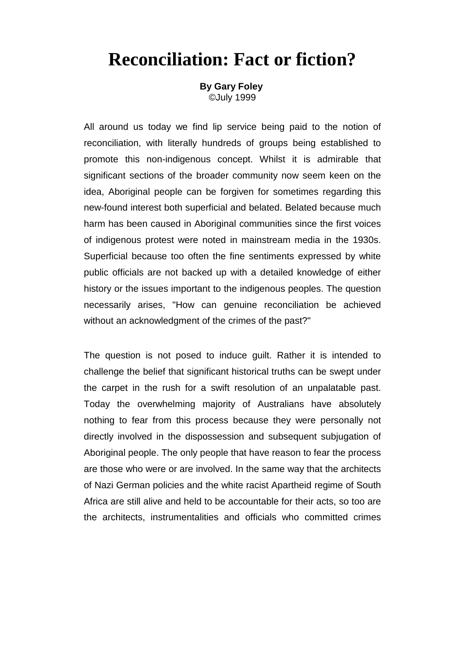## **Reconciliation: Fact or fiction?**

**By Gary Foley** ©July 1999

All around us today we find lip service being paid to the notion of reconciliation, with literally hundreds of groups being established to promote this non-indigenous concept. Whilst it is admirable that significant sections of the broader community now seem keen on the idea, Aboriginal people can be forgiven for sometimes regarding this new-found interest both superficial and belated. Belated because much harm has been caused in Aboriginal communities since the first voices of indigenous protest were noted in mainstream media in the 1930s. Superficial because too often the fine sentiments expressed by white public officials are not backed up with a detailed knowledge of either history or the issues important to the indigenous peoples. The question necessarily arises, "How can genuine reconciliation be achieved without an acknowledgment of the crimes of the past?"

The question is not posed to induce guilt. Rather it is intended to challenge the belief that significant historical truths can be swept under the carpet in the rush for a swift resolution of an unpalatable past. Today the overwhelming majority of Australians have absolutely nothing to fear from this process because they were personally not directly involved in the dispossession and subsequent subjugation of Aboriginal people. The only people that have reason to fear the process are those who were or are involved. In the same way that the architects of Nazi German policies and the white racist Apartheid regime of South Africa are still alive and held to be accountable for their acts, so too are the architects, instrumentalities and officials who committed crimes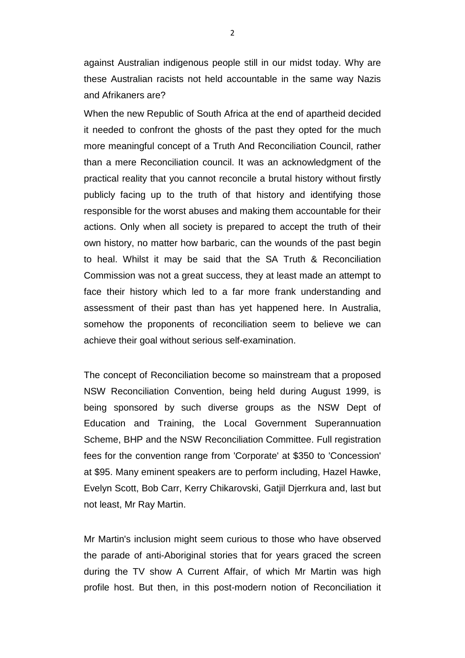against Australian indigenous people still in our midst today. Why are these Australian racists not held accountable in the same way Nazis and Afrikaners are?

When the new Republic of South Africa at the end of apartheid decided it needed to confront the ghosts of the past they opted for the much more meaningful concept of a Truth And Reconciliation Council, rather than a mere Reconciliation council. It was an acknowledgment of the practical reality that you cannot reconcile a brutal history without firstly publicly facing up to the truth of that history and identifying those responsible for the worst abuses and making them accountable for their actions. Only when all society is prepared to accept the truth of their own history, no matter how barbaric, can the wounds of the past begin to heal. Whilst it may be said that the SA Truth & Reconciliation Commission was not a great success, they at least made an attempt to face their history which led to a far more frank understanding and assessment of their past than has yet happened here. In Australia, somehow the proponents of reconciliation seem to believe we can achieve their goal without serious self-examination.

The concept of Reconciliation become so mainstream that a proposed NSW Reconciliation Convention, being held during August 1999, is being sponsored by such diverse groups as the NSW Dept of Education and Training, the Local Government Superannuation Scheme, BHP and the NSW Reconciliation Committee. Full registration fees for the convention range from 'Corporate' at \$350 to 'Concession' at \$95. Many eminent speakers are to perform including, Hazel Hawke, Evelyn Scott, Bob Carr, Kerry Chikarovski, Gatjil Djerrkura and, last but not least, Mr Ray Martin.

Mr Martin's inclusion might seem curious to those who have observed the parade of anti-Aboriginal stories that for years graced the screen during the TV show A Current Affair, of which Mr Martin was high profile host. But then, in this post-modern notion of Reconciliation it

2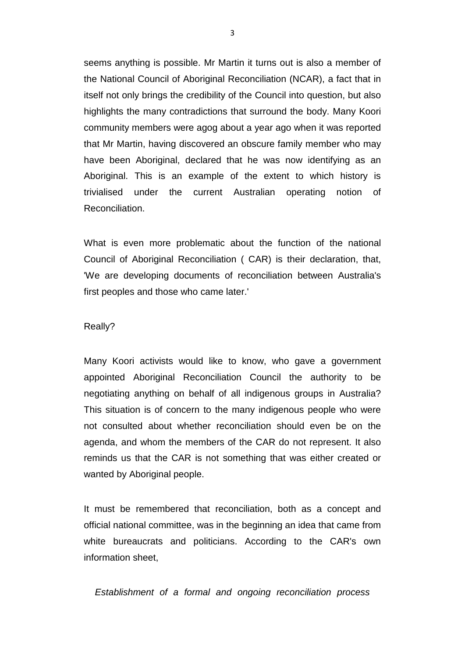seems anything is possible. Mr Martin it turns out is also a member of the National Council of Aboriginal Reconciliation (NCAR), a fact that in itself not only brings the credibility of the Council into question, but also highlights the many contradictions that surround the body. Many Koori community members were agog about a year ago when it was reported that Mr Martin, having discovered an obscure family member who may have been Aboriginal, declared that he was now identifying as an Aboriginal. This is an example of the extent to which history is trivialised under the current Australian operating notion of Reconciliation.

What is even more problematic about the function of the national Council of Aboriginal Reconciliation ( CAR) is their declaration, that, 'We are developing documents of reconciliation between Australia's first peoples and those who came later.'

## Really?

Many Koori activists would like to know, who gave a government appointed Aboriginal Reconciliation Council the authority to be negotiating anything on behalf of all indigenous groups in Australia? This situation is of concern to the many indigenous people who were not consulted about whether reconciliation should even be on the agenda, and whom the members of the CAR do not represent. It also reminds us that the CAR is not something that was either created or wanted by Aboriginal people.

It must be remembered that reconciliation, both as a concept and official national committee, was in the beginning an idea that came from white bureaucrats and politicians. According to the CAR's own information sheet,

*Establishment of a formal and ongoing reconciliation process*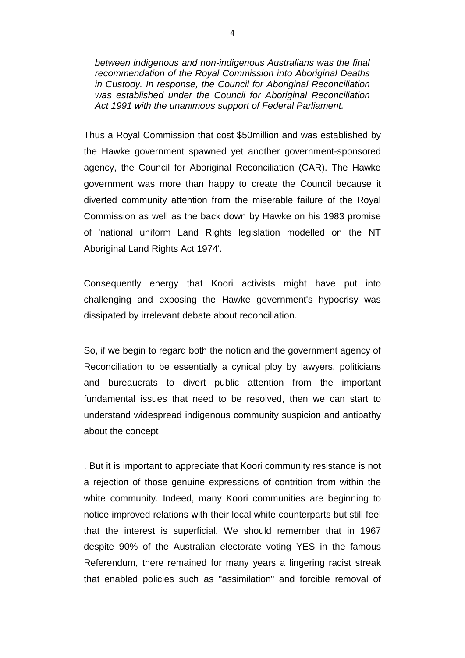*between indigenous and non-indigenous Australians was the final recommendation of the Royal Commission into Aboriginal Deaths in Custody. In response, the Council for Aboriginal Reconciliation was established under the Council for Aboriginal Reconciliation Act 1991 with the unanimous support of Federal Parliament.*

Thus a Royal Commission that cost \$50million and was established by the Hawke government spawned yet another government-sponsored agency, the Council for Aboriginal Reconciliation (CAR). The Hawke government was more than happy to create the Council because it diverted community attention from the miserable failure of the Royal Commission as well as the back down by Hawke on his 1983 promise of 'national uniform Land Rights legislation modelled on the NT Aboriginal Land Rights Act 1974'.

Consequently energy that Koori activists might have put into challenging and exposing the Hawke government's hypocrisy was dissipated by irrelevant debate about reconciliation.

So, if we begin to regard both the notion and the government agency of Reconciliation to be essentially a cynical ploy by lawyers, politicians and bureaucrats to divert public attention from the important fundamental issues that need to be resolved, then we can start to understand widespread indigenous community suspicion and antipathy about the concept

. But it is important to appreciate that Koori community resistance is not a rejection of those genuine expressions of contrition from within the white community. Indeed, many Koori communities are beginning to notice improved relations with their local white counterparts but still feel that the interest is superficial. We should remember that in 1967 despite 90% of the Australian electorate voting YES in the famous Referendum, there remained for many years a lingering racist streak that enabled policies such as "assimilation" and forcible removal of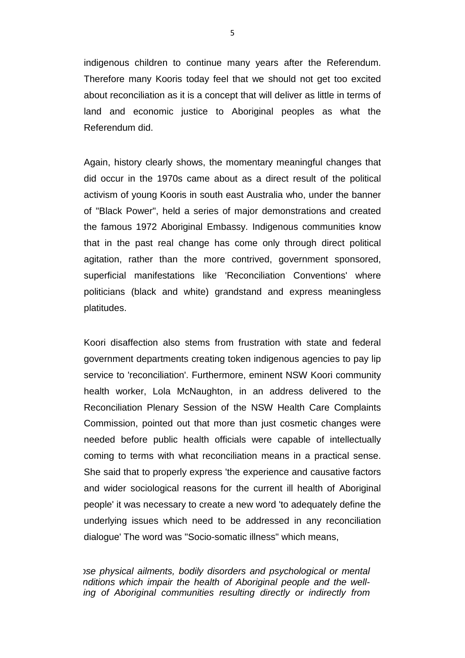indigenous children to continue many years after the Referendum. Therefore many Kooris today feel that we should not get too excited about reconciliation as it is a concept that will deliver as little in terms of land and economic justice to Aboriginal peoples as what the Referendum did.

Again, history clearly shows, the momentary meaningful changes that did occur in the 1970s came about as a direct result of the political activism of young Kooris in south east Australia who, under the banner of "Black Power", held a series of major demonstrations and created the famous 1972 Aboriginal Embassy. Indigenous communities know that in the past real change has come only through direct political agitation, rather than the more contrived, government sponsored, superficial manifestations like 'Reconciliation Conventions' where politicians (black and white) grandstand and express meaningless platitudes.

Koori disaffection also stems from frustration with state and federal government departments creating token indigenous agencies to pay lip service to 'reconciliation'. Furthermore, eminent NSW Koori community health worker, Lola McNaughton, in an address delivered to the Reconciliation Plenary Session of the NSW Health Care Complaints Commission, pointed out that more than just cosmetic changes were needed before public health officials were capable of intellectually coming to terms with what reconciliation means in a practical sense. She said that to properly express 'the experience and causative factors and wider sociological reasons for the current ill health of Aboriginal people' it was necessary to create a new word 'to adequately define the underlying issues which need to be addressed in any reconciliation dialogue' The word was "Socio-somatic illness" which means,

*ose physical ailments, bodily disorders and psychological or mental nditions which impair the health of Aboriginal people and the welling of Aboriginal communities resulting directly or indirectly from*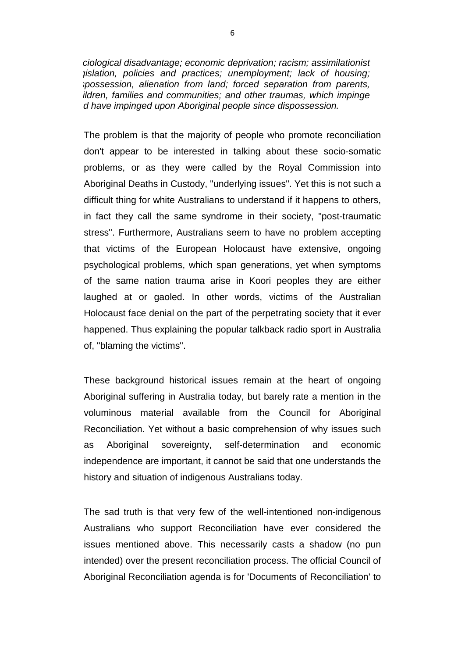*ciological disadvantage; economic deprivation; racism; assimilationist gislation, policies and practices; unemployment; lack of housing; spossession, alienation from land; forced separation from parents, ildren, families and communities; and other traumas, which impinge d have impinged upon Aboriginal people since dispossession.*

The problem is that the majority of people who promote reconciliation don't appear to be interested in talking about these socio-somatic problems, or as they were called by the Royal Commission into Aboriginal Deaths in Custody, "underlying issues". Yet this is not such a difficult thing for white Australians to understand if it happens to others, in fact they call the same syndrome in their society, "post-traumatic stress". Furthermore, Australians seem to have no problem accepting that victims of the European Holocaust have extensive, ongoing psychological problems, which span generations, yet when symptoms of the same nation trauma arise in Koori peoples they are either laughed at or gaoled. In other words, victims of the Australian Holocaust face denial on the part of the perpetrating society that it ever happened. Thus explaining the popular talkback radio sport in Australia of, "blaming the victims".

These background historical issues remain at the heart of ongoing Aboriginal suffering in Australia today, but barely rate a mention in the voluminous material available from the Council for Aboriginal Reconciliation. Yet without a basic comprehension of why issues such as Aboriginal sovereignty, self-determination and economic independence are important, it cannot be said that one understands the history and situation of indigenous Australians today.

The sad truth is that very few of the well-intentioned non-indigenous Australians who support Reconciliation have ever considered the issues mentioned above. This necessarily casts a shadow (no pun intended) over the present reconciliation process. The official Council of Aboriginal Reconciliation agenda is for 'Documents of Reconciliation' to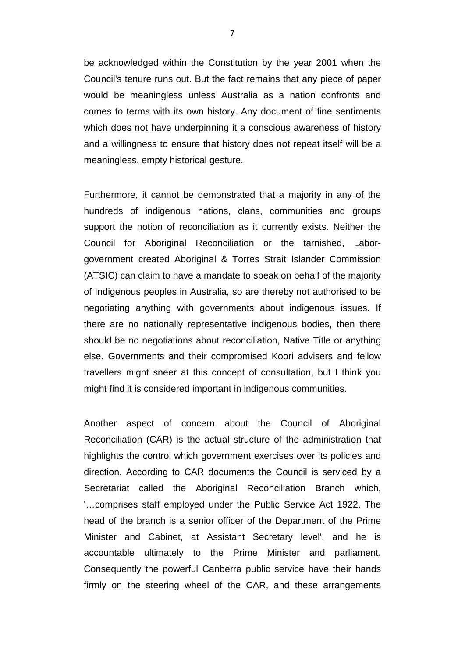be acknowledged within the Constitution by the year 2001 when the Council's tenure runs out. But the fact remains that any piece of paper would be meaningless unless Australia as a nation confronts and comes to terms with its own history. Any document of fine sentiments which does not have underpinning it a conscious awareness of history and a willingness to ensure that history does not repeat itself will be a meaningless, empty historical gesture.

Furthermore, it cannot be demonstrated that a majority in any of the hundreds of indigenous nations, clans, communities and groups support the notion of reconciliation as it currently exists. Neither the Council for Aboriginal Reconciliation or the tarnished, Laborgovernment created Aboriginal & Torres Strait Islander Commission (ATSIC) can claim to have a mandate to speak on behalf of the majority of Indigenous peoples in Australia, so are thereby not authorised to be negotiating anything with governments about indigenous issues. If there are no nationally representative indigenous bodies, then there should be no negotiations about reconciliation, Native Title or anything else. Governments and their compromised Koori advisers and fellow travellers might sneer at this concept of consultation, but I think you might find it is considered important in indigenous communities.

Another aspect of concern about the Council of Aboriginal Reconciliation (CAR) is the actual structure of the administration that highlights the control which government exercises over its policies and direction. According to CAR documents the Council is serviced by a Secretariat called the Aboriginal Reconciliation Branch which, '…comprises staff employed under the Public Service Act 1922. The head of the branch is a senior officer of the Department of the Prime Minister and Cabinet, at Assistant Secretary level', and he is accountable ultimately to the Prime Minister and parliament. Consequently the powerful Canberra public service have their hands firmly on the steering wheel of the CAR, and these arrangements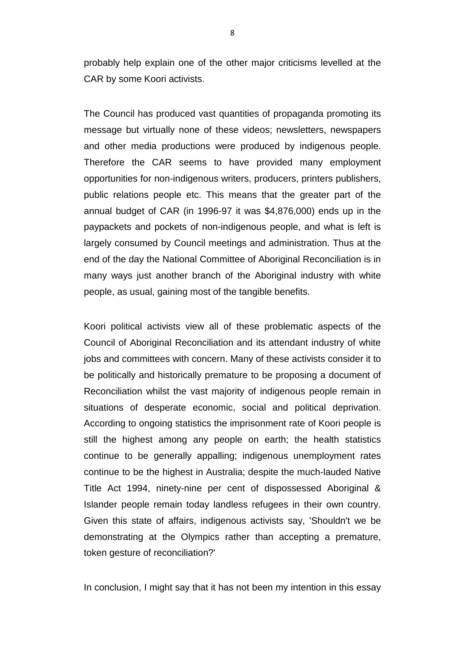probably help explain one of the other major criticisms levelled at the CAR by some Koori activists.

The Council has produced vast quantities of propaganda promoting its message but virtually none of these videos; newsletters, newspapers and other media productions were produced by indigenous people. Therefore the CAR seems to have provided many employment opportunities for non-indigenous writers, producers, printers publishers, public relations people etc. This means that the greater part of the annual budget of CAR (in 1996-97 it was \$4,876,000) ends up in the paypackets and pockets of non-indigenous people, and what is left is largely consumed by Council meetings and administration. Thus at the end of the day the National Committee of Aboriginal Reconciliation is in many ways just another branch of the Aboriginal industry with white people, as usual, gaining most of the tangible benefits.

Koori political activists view all of these problematic aspects of the Council of Aboriginal Reconciliation and its attendant industry of white jobs and committees with concern. Many of these activists consider it to be politically and historically premature to be proposing a document of Reconciliation whilst the vast majority of indigenous people remain in situations of desperate economic, social and political deprivation. According to ongoing statistics the imprisonment rate of Koori people is still the highest among any people on earth; the health statistics continue to be generally appalling; indigenous unemployment rates continue to be the highest in Australia; despite the much-lauded Native Title Act 1994, ninety-nine per cent of dispossessed Aboriginal & Islander people remain today landless refugees in their own country. Given this state of affairs, indigenous activists say, 'Shouldn't we be demonstrating at the Olympics rather than accepting a premature, token gesture of reconciliation?'

In conclusion, I might say that it has not been my intention in this essay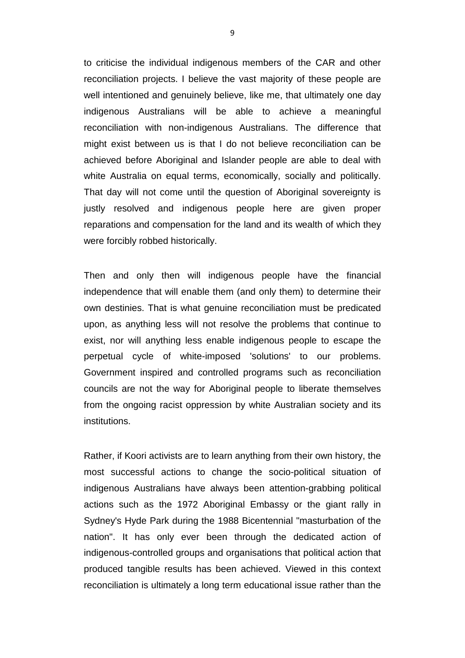to criticise the individual indigenous members of the CAR and other reconciliation projects. I believe the vast majority of these people are well intentioned and genuinely believe, like me, that ultimately one day indigenous Australians will be able to achieve a meaningful reconciliation with non-indigenous Australians. The difference that might exist between us is that I do not believe reconciliation can be achieved before Aboriginal and Islander people are able to deal with white Australia on equal terms, economically, socially and politically. That day will not come until the question of Aboriginal sovereignty is justly resolved and indigenous people here are given proper reparations and compensation for the land and its wealth of which they were forcibly robbed historically.

Then and only then will indigenous people have the financial independence that will enable them (and only them) to determine their own destinies. That is what genuine reconciliation must be predicated upon, as anything less will not resolve the problems that continue to exist, nor will anything less enable indigenous people to escape the perpetual cycle of white-imposed 'solutions' to our problems. Government inspired and controlled programs such as reconciliation councils are not the way for Aboriginal people to liberate themselves from the ongoing racist oppression by white Australian society and its institutions.

Rather, if Koori activists are to learn anything from their own history, the most successful actions to change the socio-political situation of indigenous Australians have always been attention-grabbing political actions such as the 1972 Aboriginal Embassy or the giant rally in Sydney's Hyde Park during the 1988 Bicentennial "masturbation of the nation". It has only ever been through the dedicated action of indigenous-controlled groups and organisations that political action that produced tangible results has been achieved. Viewed in this context reconciliation is ultimately a long term educational issue rather than the

9